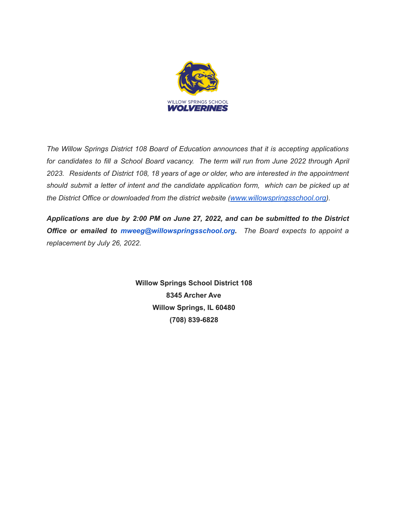

*The Willow Springs District 108 Board of Education announces that it is accepting applications for candidates to fill a School Board vacancy. The term will run from June 2022 through April 2023. Residents of District 108, 18 years of age or older, who are interested in the appointment should submit a letter of intent and the candidate application form, which can be picked up at the District Office or downloaded from the district website ([www.willowspringsschool.org](http://www.willowspringsschool.org/)).*

*Applications are due by 2:00 PM on June 27, 2022, and can be submitted to the District Office or emailed to mweeg@willowspringsschool.org. The Board expects to appoint a replacement by July 26, 2022.*

> **Willow Springs School District 108 8345 Archer Ave Willow Springs, IL 60480 (708) 839-6828**